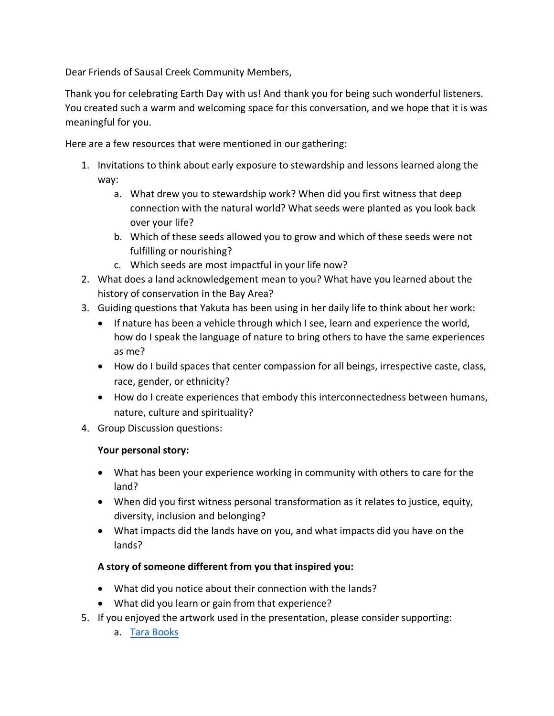Dear Friends of Sausal Creek Community Members,

Thank you for celebrating Earth Day with us! And thank you for being such wonderful listeners. You created such a warm and welcoming space for this conversation, and we hope that it is was meaningful for you.

Here are a few resources that were mentioned in our gathering:

- 1. Invitations to think about early exposure to stewardship and lessons learned along the way:
	- a. What drew you to stewardship work? When did you first witness that deep connection with the natural world? What seeds were planted as you look back over your life?
	- b. Which of these seeds allowed you to grow and which of these seeds were not fulfilling or nourishing?
	- c. Which seeds are most impactful in your life now?
- 2. What does a land acknowledgement mean to you? What have you learned about the history of conservation in the Bay Area?
- 3. Guiding questions that Yakuta has been using in her daily life to think about her work:
	- If nature has been a vehicle through which I see, learn and experience the world, how do I speak the language of nature to bring others to have the same experiences as me?
	- How do I build spaces that center compassion for all beings, irrespective caste, class, race, gender, or ethnicity?
	- How do I create experiences that embody this interconnectedness between humans, nature, culture and spirituality?
- 4. Group Discussion questions:

## **Your personal story:**

- What has been your experience working in community with others to care for the land?
- When did you first witness personal transformation as it relates to justice, equity, diversity, inclusion and belonging?
- What impacts did the lands have on you, and what impacts did you have on the lands?

## **A story of someone different from you that inspired you:**

- What did you notice about their connection with the lands?
- What did you learn or gain from that experience?
- 5. If you enjoyed the artwork used in the presentation, please consider supporting:
	- a. [Tara Books](https://tarabooks.com/)